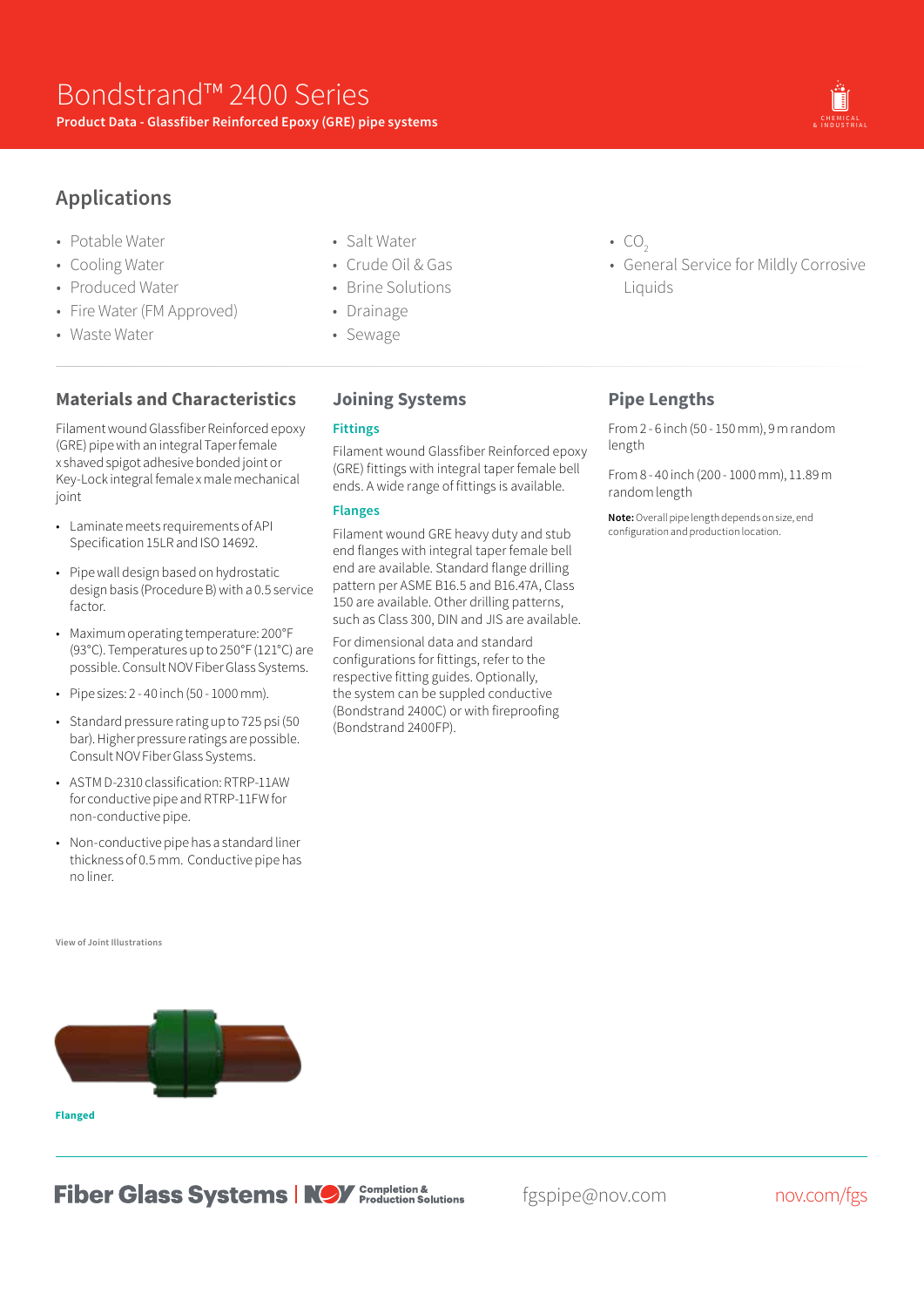

- Potable Water
- Cooling Water
- Produced Water
- Fire Water (FM Approved)
- Waste Water
- Salt Water
- Crude Oil & Gas
- Brine Solutions
- Drainage
- Sewage

# **Materials and Characteristics**

Filament wound Glassfiber Reinforced epoxy (GRE) pipe with an integral Taper female x shaved spigot adhesive bonded joint or Key-Lock integral female x male mechanical joint

- Laminate meets requirements of API Specification 15LR and ISO 14692.
- Pipe wall design based on hydrostatic design basis (Procedure B) with a 0.5 service factor.
- Maximum operating temperature: 200°F (93°C). Temperatures up to 250°F (121°C) are possible. Consult NOV Fiber Glass Systems.
- Pipe sizes: 2 40 inch (50 1000 mm).
- Standard pressure rating up to 725 psi (50 bar). Higher pressure ratings are possible. Consult NOV Fiber Glass Systems.
- ASTM D-2310 classification: RTRP-11AW for conductive pipe and RTRP-11FW for non-conductive pipe.
- Non-conductive pipe has a standard liner thickness of 0.5 mm. Conductive pipe has no liner.

#### **View of Joint Illustrations**



## **Joining Systems**

### **Fittings**

Filament wound Glassfiber Reinforced epoxy (GRE) fittings with integral taper female bell ends. A wide range of fittings is available.

### **Flanges**

Filament wound GRE heavy duty and stub end flanges with integral taper female bell end are available. Standard flange drilling pattern per ASME B16.5 and B16.47A, Class 150 are available. Other drilling patterns, such as Class 300, DIN and JIS are available.

For dimensional data and standard configurations for fittings, refer to the respective fitting guides. Optionally, the system can be suppled conductive (Bondstrand 2400C) or with fireproofing (Bondstrand 2400FP).

- $\cdot$  CO<sub>2</sub>
- General Service for Mildly Corrosive Liquids

## **Pipe Lengths**

From 2 - 6 inch (50 - 150 mm), 9 m random length

From 8 - 40 inch (200 - 1000 mm), 11.89 m random length

**Note:**Overall pipe length depends on size, end configuration and production location.

**Fiber Glass Systems | NOV** Completion &

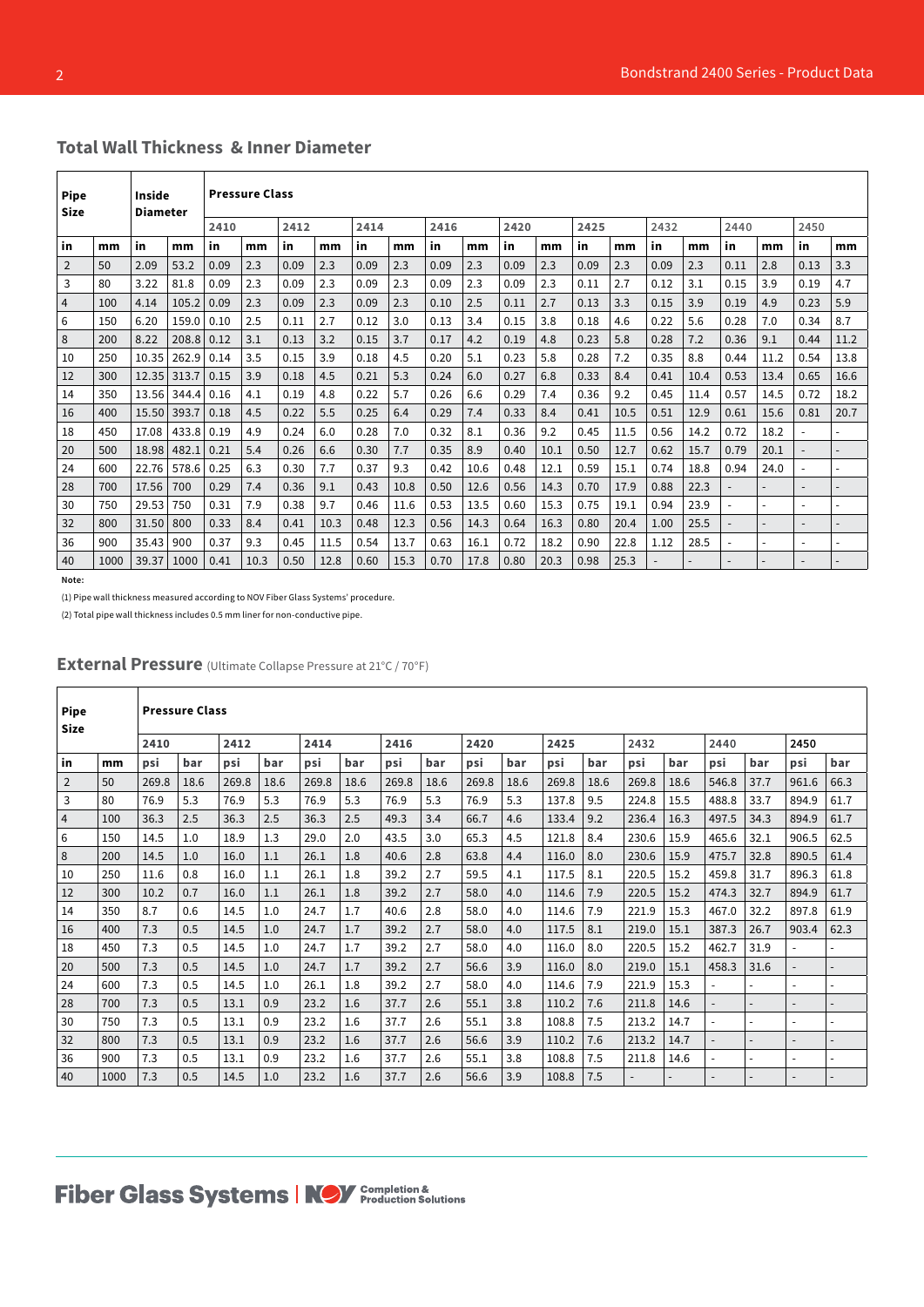| <b>Pipe</b><br>Size |      | Inside<br><b>Diameter</b> |       |      | <b>Pressure Class</b> |      |      |      |      |      |      |      |      |      |      |      |      |                          |      |                          |      |
|---------------------|------|---------------------------|-------|------|-----------------------|------|------|------|------|------|------|------|------|------|------|------|------|--------------------------|------|--------------------------|------|
|                     |      |                           |       | 2410 |                       | 2412 |      | 2414 |      | 2416 |      | 2420 |      | 2425 |      | 2432 |      | 2440                     |      | 2450                     |      |
| in                  | mm   | in                        | mm    | in   | mm                    | in   | mm   | in   | mm   | in   | mm   | in   | mm   | in   | mm   | in   | mm   | in                       | mm   | in                       | mm   |
| $\overline{2}$      | 50   | 2.09                      | 53.2  | 0.09 | 2.3                   | 0.09 | 2.3  | 0.09 | 2.3  | 0.09 | 2.3  | 0.09 | 2.3  | 0.09 | 2.3  | 0.09 | 2.3  | 0.11                     | 2.8  | 0.13                     | 3.3  |
| 3                   | 80   | 3.22                      | 81.8  | 0.09 | 2.3                   | 0.09 | 2.3  | 0.09 | 2.3  | 0.09 | 2.3  | 0.09 | 2.3  | 0.11 | 2.7  | 0.12 | 3.1  | 0.15                     | 3.9  | 0.19                     | 4.7  |
| 4                   | 100  | 4.14                      | 105.2 | 0.09 | 2.3                   | 0.09 | 2.3  | 0.09 | 2.3  | 0.10 | 2.5  | 0.11 | 2.7  | 0.13 | 3.3  | 0.15 | 3.9  | 0.19                     | 4.9  | 0.23                     | 5.9  |
| 6                   | 150  | 6.20                      | 159.0 | 0.10 | 2.5                   | 0.11 | 2.7  | 0.12 | 3.0  | 0.13 | 3.4  | 0.15 | 3.8  | 0.18 | 4.6  | 0.22 | 5.6  | 0.28                     | 7.0  | 0.34                     | 8.7  |
| 8                   | 200  | 8.22                      | 208.8 | 0.12 | 3.1                   | 0.13 | 3.2  | 0.15 | 3.7  | 0.17 | 4.2  | 0.19 | 4.8  | 0.23 | 5.8  | 0.28 | 7.2  | 0.36                     | 9.1  | 0.44                     | 11.2 |
| 10                  | 250  | 10.35                     | 262.9 | 0.14 | 3.5                   | 0.15 | 3.9  | 0.18 | 4.5  | 0.20 | 5.1  | 0.23 | 5.8  | 0.28 | 7.2  | 0.35 | 8.8  | 0.44                     | 11.2 | 0.54                     | 13.8 |
| 12                  | 300  | 12.35                     | 313.7 | 0.15 | 3.9                   | 0.18 | 4.5  | 0.21 | 5.3  | 0.24 | 6.0  | 0.27 | 6.8  | 0.33 | 8.4  | 0.41 | 10.4 | 0.53                     | 13.4 | 0.65                     | 16.6 |
| 14                  | 350  | 13.56                     | 344.4 | 0.16 | 4.1                   | 0.19 | 4.8  | 0.22 | 5.7  | 0.26 | 6.6  | 0.29 | 7.4  | 0.36 | 9.2  | 0.45 | 11.4 | 0.57                     | 14.5 | 0.72                     | 18.2 |
| 16                  | 400  | 15.50                     | 393.7 | 0.18 | 4.5                   | 0.22 | 5.5  | 0.25 | 6.4  | 0.29 | 7.4  | 0.33 | 8.4  | 0.41 | 10.5 | 0.51 | 12.9 | 0.61                     | 15.6 | 0.81                     | 20.7 |
| 18                  | 450  | 17.08                     | 433.8 | 0.19 | 4.9                   | 0.24 | 6.0  | 0.28 | 7.0  | 0.32 | 8.1  | 0.36 | 9.2  | 0.45 | 11.5 | 0.56 | 14.2 | 0.72                     | 18.2 | $\ddot{\phantom{1}}$     |      |
| 20                  | 500  | 18.98                     | 482.1 | 0.21 | 5.4                   | 0.26 | 6.6  | 0.30 | 7.7  | 0.35 | 8.9  | 0.40 | 10.1 | 0.50 | 12.7 | 0.62 | 15.7 | 0.79                     | 20.1 | $\overline{\phantom{a}}$ |      |
| 24                  | 600  | 22.76                     | 578.6 | 0.25 | 6.3                   | 0.30 | 7.7  | 0.37 | 9.3  | 0.42 | 10.6 | 0.48 | 12.1 | 0.59 | 15.1 | 0.74 | 18.8 | 0.94                     | 24.0 |                          |      |
| 28                  | 700  | 17.56                     | 700   | 0.29 | 7.4                   | 0.36 | 9.1  | 0.43 | 10.8 | 0.50 | 12.6 | 0.56 | 14.3 | 0.70 | 17.9 | 0.88 | 22.3 | $\overline{\phantom{a}}$ |      | $\overline{\phantom{a}}$ |      |
| 30                  | 750  | 29.53                     | 750   | 0.31 | 7.9                   | 0.38 | 9.7  | 0.46 | 11.6 | 0.53 | 13.5 | 0.60 | 15.3 | 0.75 | 19.1 | 0.94 | 23.9 |                          |      | $\overline{\phantom{a}}$ |      |
| 32                  | 800  | 31.50                     | 800   | 0.33 | 8.4                   | 0.41 | 10.3 | 0.48 | 12.3 | 0.56 | 14.3 | 0.64 | 16.3 | 0.80 | 20.4 | 1.00 | 25.5 |                          |      | $\overline{\phantom{a}}$ |      |
| 36                  | 900  | 35.43                     | 900   | 0.37 | 9.3                   | 0.45 | 11.5 | 0.54 | 13.7 | 0.63 | 16.1 | 0.72 | 18.2 | 0.90 | 22.8 | 1.12 | 28.5 |                          |      | $\overline{\phantom{a}}$ |      |
| 40                  | 1000 | 39.37                     | 1000  | 0.41 | 10.3                  | 0.50 | 12.8 | 0.60 | 15.3 | 0.70 | 17.8 | 0.80 | 20.3 | 0.98 | 25.3 |      |      |                          |      |                          |      |

### **Total Wall Thickness & Inner Diameter**

**Note:**

(1) Pipe wall thickness measured according to NOV Fiber Glass Systems' procedure.

(2) Total pipe wall thickness includes 0.5 mm liner for non-conductive pipe.

| <b>Pipe</b><br><b>Size</b> |      |       | <b>Pressure Class</b> |       |      |       |      | 2420<br>2416 |      |       |      |       |      |       |      |                |                          |                          |      |
|----------------------------|------|-------|-----------------------|-------|------|-------|------|--------------|------|-------|------|-------|------|-------|------|----------------|--------------------------|--------------------------|------|
|                            |      | 2410  |                       | 2412  |      | 2414  |      |              |      |       |      | 2425  |      | 2432  |      | 2440           |                          | 2450                     |      |
| in                         | mm   | psi   | bar                   | psi   | bar  | psi   | bar  | psi          | bar  | psi   | bar  | psi   | bar  | psi   | bar  | psi            | bar                      | psi                      | bar  |
| $\overline{2}$             | 50   | 269.8 | 18.6                  | 269.8 | 18.6 | 269.8 | 18.6 | 269.8        | 18.6 | 269.8 | 18.6 | 269.8 | 18.6 | 269.8 | 18.6 | 546.8          | 37.7                     | 961.6                    | 66.3 |
| 3                          | 80   | 76.9  | 5.3                   | 76.9  | 5.3  | 76.9  | 5.3  | 76.9         | 5.3  | 76.9  | 5.3  | 137.8 | 9.5  | 224.8 | 15.5 | 488.8          | 33.7                     | 894.9                    | 61.7 |
| $\overline{4}$             | 100  | 36.3  | 2.5                   | 36.3  | 2.5  | 36.3  | 2.5  | 49.3         | 3.4  | 66.7  | 4.6  | 133.4 | 9.2  | 236.4 | 16.3 | 497.5          | 34.3                     | 894.9                    | 61.7 |
| 6                          | 150  | 14.5  | 1.0                   | 18.9  | 1.3  | 29.0  | 2.0  | 43.5         | 3.0  | 65.3  | 4.5  | 121.8 | 8.4  | 230.6 | 15.9 | 465.6          | 32.1                     | 906.5                    | 62.5 |
| 8                          | 200  | 14.5  | 1.0                   | 16.0  | 1.1  | 26.1  | 1.8  | 40.6         | 2.8  | 63.8  | 4.4  | 116.0 | 8.0  | 230.6 | 15.9 | 475.7          | 32.8                     | 890.5                    | 61.4 |
| 10                         | 250  | 11.6  | 0.8                   | 16.0  | 1.1  | 26.1  | 1.8  | 39.2         | 2.7  | 59.5  | 4.1  | 117.5 | 8.1  | 220.5 | 15.2 | 459.8          | 31.7                     | 896.3                    | 61.8 |
| 12                         | 300  | 10.2  | 0.7                   | 16.0  | 1.1  | 26.1  | 1.8  | 39.2         | 2.7  | 58.0  | 4.0  | 114.6 | 7.9  | 220.5 | 15.2 | 474.3          | 32.7                     | 894.9                    | 61.7 |
| 14                         | 350  | 8.7   | 0.6                   | 14.5  | 1.0  | 24.7  | 1.7  | 40.6         | 2.8  | 58.0  | 4.0  | 114.6 | 7.9  | 221.9 | 15.3 | 467.0          | 32.2                     | 897.8                    | 61.9 |
| 16                         | 400  | 7.3   | 0.5                   | 14.5  | 1.0  | 24.7  | 1.7  | 39.2         | 2.7  | 58.0  | 4.0  | 117.5 | 8.1  | 219.0 | 15.1 | 387.3          | 26.7                     | 903.4                    | 62.3 |
| 18                         | 450  | 7.3   | 0.5                   | 14.5  | 1.0  | 24.7  | 1.7  | 39.2         | 2.7  | 58.0  | 4.0  | 116.0 | 8.0  | 220.5 | 15.2 | 462.7          | 31.9                     |                          |      |
| 20                         | 500  | 7.3   | 0.5                   | 14.5  | 1.0  | 24.7  | 1.7  | 39.2         | 2.7  | 56.6  | 3.9  | 116.0 | 8.0  | 219.0 | 15.1 | 458.3          | 31.6                     | $\blacksquare$           |      |
| 24                         | 600  | 7.3   | 0.5                   | 14.5  | 1.0  | 26.1  | 1.8  | 39.2         | 2.7  | 58.0  | 4.0  | 114.6 | 7.9  | 221.9 | 15.3 |                | $\overline{a}$           | $\overline{\phantom{a}}$ |      |
| 28                         | 700  | 7.3   | 0.5                   | 13.1  | 0.9  | 23.2  | 1.6  | 37.7         | 2.6  | 55.1  | 3.8  | 110.2 | 7.6  | 211.8 | 14.6 |                | $\overline{\phantom{a}}$ | $\overline{\phantom{a}}$ |      |
| 30                         | 750  | 7.3   | 0.5                   | 13.1  | 0.9  | 23.2  | 1.6  | 37.7         | 2.6  | 55.1  | 3.8  | 108.8 | 7.5  | 213.2 | 14.7 |                |                          | $\overline{\phantom{0}}$ |      |
| 32                         | 800  | 7.3   | 0.5                   | 13.1  | 0.9  | 23.2  | 1.6  | 37.7         | 2.6  | 56.6  | 3.9  | 110.2 | 7.6  | 213.2 | 14.7 | $\overline{a}$ |                          | $\overline{\phantom{a}}$ |      |
| 36                         | 900  | 7.3   | 0.5                   | 13.1  | 0.9  | 23.2  | 1.6  | 37.7         | 2.6  | 55.1  | 3.8  | 108.8 | 7.5  | 211.8 | 14.6 |                |                          | $\overline{\phantom{0}}$ |      |
| 40                         | 1000 | 7.3   | 0.5                   | 14.5  | 1.0  | 23.2  | 1.6  | 37.7         | 2.6  | 56.6  | 3.9  | 108.8 | 7.5  |       |      |                |                          |                          |      |

**External Pressure** (Ultimate Collapse Pressure at 21°C / 70°F)

# **Fiber Glass Systems | NOV** Completion &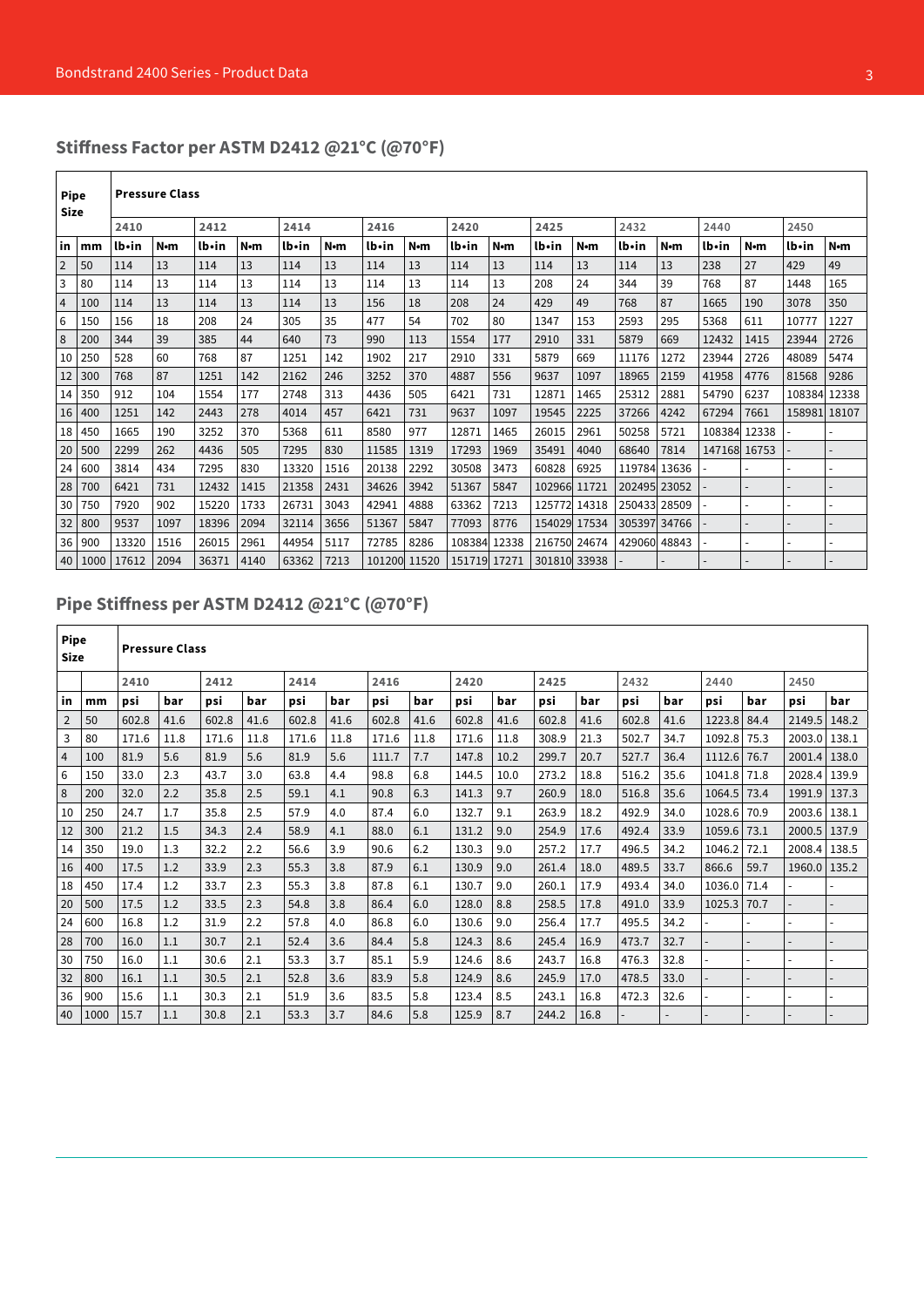# **Stiffness Factor per ASTM D2412 @21°C (@70°F)**

| <b>Pipe</b><br><b>Size</b> |      |       | <b>Pressure Class</b> |       |      |       |      |              |             |              |       |              |       |              |      |              |                |              |             |
|----------------------------|------|-------|-----------------------|-------|------|-------|------|--------------|-------------|--------------|-------|--------------|-------|--------------|------|--------------|----------------|--------------|-------------|
|                            |      | 2410  |                       | 2412  |      | 2414  |      | 2416         |             | 2420         |       | 2425         |       | 2432         |      | 2440         |                | 2450         |             |
| lin                        | mm   | lb•in | N•m                   | lb•in | N·m  | lb•in | N•m  | lb•in        | $N \cdot m$ | lb•in        | N•m   | lb•in        | N•m   | lb•in        | N•m  | lb•in        | N•m            | lb•in        | $N \cdot m$ |
| $\overline{2}$             | 50   | 114   | 13                    | 114   | 13   | 114   | 13   | 114          | 13          | 114          | 13    | 114          | 13    | 114          | 13   | 238          | 27             | 429          | 49          |
| 3                          | 80   | 114   | 13                    | 114   | 13   | 114   | 13   | 114          | 13          | 114          | 13    | 208          | 24    | 344          | 39   | 768          | 87             | 1448         | 165         |
| $\overline{4}$             | 100  | 114   | 13                    | 114   | 13   | 114   | 13   | 156          | 18          | 208          | 24    | 429          | 49    | 768          | 87   | 1665         | 190            | 3078         | 350         |
| 6                          | 150  | 156   | 18                    | 208   | 24   | 305   | 35   | 477          | 54          | 702          | 80    | 1347         | 153   | 2593         | 295  | 5368         | 611            | 10777        | 1227        |
| 8                          | 200  | 344   | 39                    | 385   | 44   | 640   | 73   | 990          | 113         | 1554         | 177   | 2910         | 331   | 5879         | 669  | 12432        | 1415           | 23944        | 2726        |
| 10                         | 250  | 528   | 60                    | 768   | 87   | 1251  | 142  | 1902         | 217         | 2910         | 331   | 5879         | 669   | 11176        | 1272 | 23944        | 2726           | 48089        | 5474        |
| 12                         | 300  | 768   | 87                    | 1251  | 142  | 2162  | 246  | 3252         | 370         | 4887         | 556   | 9637         | 1097  | 18965        | 2159 | 41958        | 4776           | 81568        | 9286        |
| 14                         | 350  | 912   | 104                   | 1554  | 177  | 2748  | 313  | 4436         | 505         | 6421         | 731   | 12871        | 1465  | 25312        | 2881 | 54790        | 6237           | 108384 12338 |             |
| 16                         | 400  | 1251  | 142                   | 2443  | 278  | 4014  | 457  | 6421         | 731         | 9637         | 1097  | 19545        | 2225  | 37266        | 4242 | 67294        | 7661           | 158981 18107 |             |
| 18                         | 450  | 1665  | 190                   | 3252  | 370  | 5368  | 611  | 8580         | 977         | 12871        | 1465  | 26015        | 2961  | 50258        | 5721 | 108384 12338 |                |              |             |
| 20                         | 500  | 2299  | 262                   | 4436  | 505  | 7295  | 830  | 11585        | 1319        | 17293        | 1969  | 35491        | 4040  | 68640        | 7814 | 147168 16753 |                |              |             |
| 24                         | 600  | 3814  | 434                   | 7295  | 830  | 13320 | 1516 | 20138        | 2292        | 30508        | 3473  | 60828        | 6925  | 119784 13636 |      |              |                |              |             |
| 28                         | 700  | 6421  | 731                   | 12432 | 1415 | 21358 | 2431 | 34626        | 3942        | 51367        | 5847  | 102966 11721 |       | 202495 23052 |      |              |                |              |             |
| 30                         | 750  | 7920  | 902                   | 15220 | 1733 | 26731 | 3043 | 42941        | 4888        | 63362        | 7213  | 125772       | 14318 | 250433 28509 |      |              |                |              |             |
| 32                         | 800  | 9537  | 1097                  | 18396 | 2094 | 32114 | 3656 | 51367        | 5847        | 77093        | 8776  | 154029 17534 |       | 305397 34766 |      |              | $\overline{a}$ |              |             |
| 36                         | 900  | 13320 | 1516                  | 26015 | 2961 | 44954 | 5117 | 72785        | 8286        | 108384       | 12338 | 216750 24674 |       | 429060 48843 |      |              | ÷.             |              |             |
| 40                         | 1000 | 17612 | 2094                  | 36371 | 4140 | 63362 | 7213 | 101200 11520 |             | 151719 17271 |       | 301810 33938 |       |              |      |              |                |              |             |

# **Pipe Stiffness per ASTM D2412 @21°C (@70°F)**

| Pipe<br><b>Size</b> |      |       | <b>Pressure Class</b> |       |      |       |      |       |      |       |      |       |      |       |      |        |      |              |       |
|---------------------|------|-------|-----------------------|-------|------|-------|------|-------|------|-------|------|-------|------|-------|------|--------|------|--------------|-------|
|                     |      | 2410  |                       | 2412  |      | 2414  |      | 2416  |      | 2420  |      | 2425  |      | 2432  |      | 2440   |      | 2450         |       |
| in                  | mm   | psi   | bar                   | psi   | bar  | psi   | bar  | psi   | bar  | psi   | bar  | psi   | bar  | psi   | bar  | psi    | bar  | psi          | bar   |
| 2                   | 50   | 602.8 | 41.6                  | 602.8 | 41.6 | 602.8 | 41.6 | 602.8 | 41.6 | 602.8 | 41.6 | 602.8 | 41.6 | 602.8 | 41.6 | 1223.8 | 84.4 | 2149.5       | 148.2 |
| 3                   | 80   | 171.6 | 11.8                  | 171.6 | 11.8 | 171.6 | 11.8 | 171.6 | 11.8 | 171.6 | 11.8 | 308.9 | 21.3 | 502.7 | 34.7 | 1092.8 | 75.3 | 2003.0 138.1 |       |
| $\overline{4}$      | 100  | 81.9  | 5.6                   | 81.9  | 5.6  | 81.9  | 5.6  | 111.7 | 7.7  | 147.8 | 10.2 | 299.7 | 20.7 | 527.7 | 36.4 | 1112.6 | 76.7 | 2001.4       | 138.0 |
| 6                   | 150  | 33.0  | 2.3                   | 43.7  | 3.0  | 63.8  | 4.4  | 98.8  | 6.8  | 144.5 | 10.0 | 273.2 | 18.8 | 516.2 | 35.6 | 1041.8 | 71.8 | 2028.4 139.9 |       |
| 8                   | 200  | 32.0  | 2.2                   | 35.8  | 2.5  | 59.1  | 4.1  | 90.8  | 6.3  | 141.3 | 9.7  | 260.9 | 18.0 | 516.8 | 35.6 | 1064.5 | 73.4 | 1991.9 137.3 |       |
| 10                  | 250  | 24.7  | 1.7                   | 35.8  | 2.5  | 57.9  | 4.0  | 87.4  | 6.0  | 132.7 | 9.1  | 263.9 | 18.2 | 492.9 | 34.0 | 1028.6 | 70.9 | 2003.6       | 138.1 |
| 12                  | 300  | 21.2  | 1.5                   | 34.3  | 2.4  | 58.9  | 4.1  | 88.0  | 6.1  | 131.2 | 9.0  | 254.9 | 17.6 | 492.4 | 33.9 | 1059.6 | 73.1 | 2000.5 137.9 |       |
| 14                  | 350  | 19.0  | 1.3                   | 32.2  | 2.2  | 56.6  | 3.9  | 90.6  | 6.2  | 130.3 | 9.0  | 257.2 | 17.7 | 496.5 | 34.2 | 1046.2 | 72.1 | 2008.4       | 138.5 |
| 16                  | 400  | 17.5  | 1.2                   | 33.9  | 2.3  | 55.3  | 3.8  | 87.9  | 6.1  | 130.9 | 9.0  | 261.4 | 18.0 | 489.5 | 33.7 | 866.6  | 59.7 | 1960.0       | 135.2 |
| 18                  | 450  | 17.4  | 1.2                   | 33.7  | 2.3  | 55.3  | 3.8  | 87.8  | 6.1  | 130.7 | 9.0  | 260.1 | 17.9 | 493.4 | 34.0 | 1036.0 | 71.4 |              |       |
| 20                  | 500  | 17.5  | 1.2                   | 33.5  | 2.3  | 54.8  | 3.8  | 86.4  | 6.0  | 128.0 | 8.8  | 258.5 | 17.8 | 491.0 | 33.9 | 1025.3 | 70.7 |              |       |
| 24                  | 600  | 16.8  | 1.2                   | 31.9  | 2.2  | 57.8  | 4.0  | 86.8  | 6.0  | 130.6 | 9.0  | 256.4 | 17.7 | 495.5 | 34.2 |        |      |              |       |
| 28                  | 700  | 16.0  | 1.1                   | 30.7  | 2.1  | 52.4  | 3.6  | 84.4  | 5.8  | 124.3 | 8.6  | 245.4 | 16.9 | 473.7 | 32.7 |        |      |              |       |
| 30                  | 750  | 16.0  | 1.1                   | 30.6  | 2.1  | 53.3  | 3.7  | 85.1  | 5.9  | 124.6 | 8.6  | 243.7 | 16.8 | 476.3 | 32.8 |        |      |              |       |
| 32                  | 800  | 16.1  | 1.1                   | 30.5  | 2.1  | 52.8  | 3.6  | 83.9  | 5.8  | 124.9 | 8.6  | 245.9 | 17.0 | 478.5 | 33.0 |        |      |              |       |
| 36                  | 900  | 15.6  | 1.1                   | 30.3  | 2.1  | 51.9  | 3.6  | 83.5  | 5.8  | 123.4 | 8.5  | 243.1 | 16.8 | 472.3 | 32.6 |        |      |              |       |
| 40                  | 1000 | 15.7  | 1.1                   | 30.8  | 2.1  | 53.3  | 3.7  | 84.6  | 5.8  | 125.9 | 8.7  | 244.2 | 16.8 |       |      |        |      |              |       |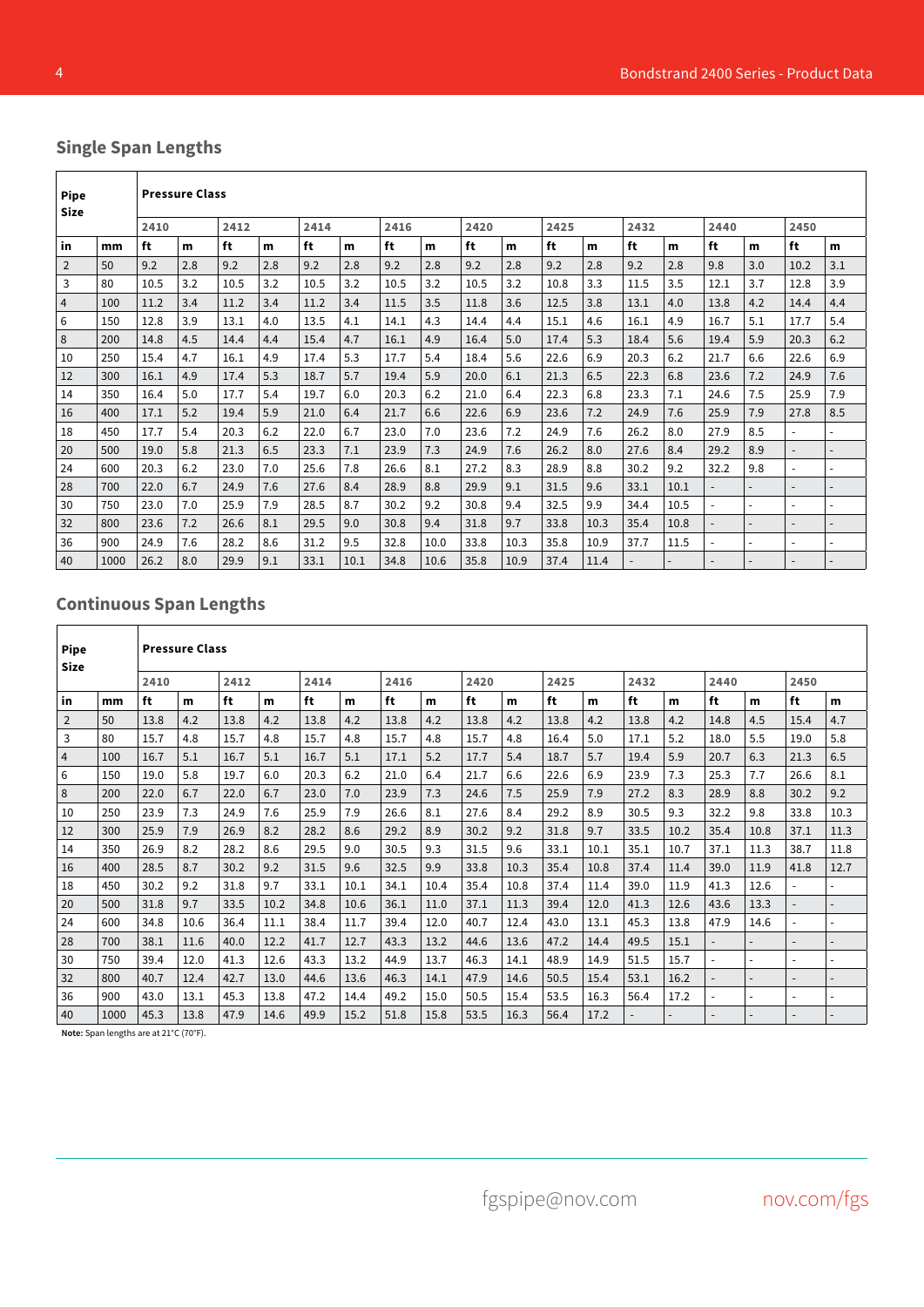# **Single Span Lengths**

| <b>Pipe</b><br><b>Size</b> |      |      | <b>Pressure Class</b> |      |     |      |      |      |      |      |      |      |      |      |      |                          |                          |                          |                          |
|----------------------------|------|------|-----------------------|------|-----|------|------|------|------|------|------|------|------|------|------|--------------------------|--------------------------|--------------------------|--------------------------|
|                            |      | 2410 |                       | 2412 |     | 2414 |      | 2416 |      | 2420 |      | 2425 |      | 2432 |      | 2440                     |                          | 2450                     |                          |
| in                         | mm   | ft   | m                     | ft   | m   | ft   | m    | ft   | m    | ft   | m    | ft   | m    | ft   | m    | ft                       | m                        | ft                       | m                        |
| $\overline{2}$             | 50   | 9.2  | 2.8                   | 9.2  | 2.8 | 9.2  | 2.8  | 9.2  | 2.8  | 9.2  | 2.8  | 9.2  | 2.8  | 9.2  | 2.8  | 9.8                      | 3.0                      | 10.2                     | 3.1                      |
| 3                          | 80   | 10.5 | 3.2                   | 10.5 | 3.2 | 10.5 | 3.2  | 10.5 | 3.2  | 10.5 | 3.2  | 10.8 | 3.3  | 11.5 | 3.5  | 12.1                     | 3.7                      | 12.8                     | 3.9                      |
| 4                          | 100  | 11.2 | 3.4                   | 11.2 | 3.4 | 11.2 | 3.4  | 11.5 | 3.5  | 11.8 | 3.6  | 12.5 | 3.8  | 13.1 | 4.0  | 13.8                     | 4.2                      | 14.4                     | 4.4                      |
| 6                          | 150  | 12.8 | 3.9                   | 13.1 | 4.0 | 13.5 | 4.1  | 14.1 | 4.3  | 14.4 | 4.4  | 15.1 | 4.6  | 16.1 | 4.9  | 16.7                     | 5.1                      | 17.7                     | 5.4                      |
| 8                          | 200  | 14.8 | 4.5                   | 14.4 | 4.4 | 15.4 | 4.7  | 16.1 | 4.9  | 16.4 | 5.0  | 17.4 | 5.3  | 18.4 | 5.6  | 19.4                     | 5.9                      | 20.3                     | 6.2                      |
| 10                         | 250  | 15.4 | 4.7                   | 16.1 | 4.9 | 17.4 | 5.3  | 17.7 | 5.4  | 18.4 | 5.6  | 22.6 | 6.9  | 20.3 | 6.2  | 21.7                     | 6.6                      | 22.6                     | 6.9                      |
| 12                         | 300  | 16.1 | 4.9                   | 17.4 | 5.3 | 18.7 | 5.7  | 19.4 | 5.9  | 20.0 | 6.1  | 21.3 | 6.5  | 22.3 | 6.8  | 23.6                     | 7.2                      | 24.9                     | 7.6                      |
| 14                         | 350  | 16.4 | 5.0                   | 17.7 | 5.4 | 19.7 | 6.0  | 20.3 | 6.2  | 21.0 | 6.4  | 22.3 | 6.8  | 23.3 | 7.1  | 24.6                     | 7.5                      | 25.9                     | 7.9                      |
| 16                         | 400  | 17.1 | 5.2                   | 19.4 | 5.9 | 21.0 | 6.4  | 21.7 | 6.6  | 22.6 | 6.9  | 23.6 | 7.2  | 24.9 | 7.6  | 25.9                     | 7.9                      | 27.8                     | 8.5                      |
| 18                         | 450  | 17.7 | 5.4                   | 20.3 | 6.2 | 22.0 | 6.7  | 23.0 | 7.0  | 23.6 | 7.2  | 24.9 | 7.6  | 26.2 | 8.0  | 27.9                     | 8.5                      | $\overline{\phantom{a}}$ |                          |
| 20                         | 500  | 19.0 | 5.8                   | 21.3 | 6.5 | 23.3 | 7.1  | 23.9 | 7.3  | 24.9 | 7.6  | 26.2 | 8.0  | 27.6 | 8.4  | 29.2                     | 8.9                      | $\overline{\phantom{a}}$ | $\overline{a}$           |
| 24                         | 600  | 20.3 | 6.2                   | 23.0 | 7.0 | 25.6 | 7.8  | 26.6 | 8.1  | 27.2 | 8.3  | 28.9 | 8.8  | 30.2 | 9.2  | 32.2                     | 9.8                      | $\overline{\phantom{a}}$ | $\overline{a}$           |
| 28                         | 700  | 22.0 | 6.7                   | 24.9 | 7.6 | 27.6 | 8.4  | 28.9 | 8.8  | 29.9 | 9.1  | 31.5 | 9.6  | 33.1 | 10.1 | $\overline{\phantom{a}}$ | $\overline{\phantom{0}}$ | $\overline{\phantom{0}}$ | $\overline{\phantom{0}}$ |
| 30                         | 750  | 23.0 | 7.0                   | 25.9 | 7.9 | 28.5 | 8.7  | 30.2 | 9.2  | 30.8 | 9.4  | 32.5 | 9.9  | 34.4 | 10.5 |                          | $\overline{a}$           | $\overline{\phantom{a}}$ |                          |
| 32                         | 800  | 23.6 | 7.2                   | 26.6 | 8.1 | 29.5 | 9.0  | 30.8 | 9.4  | 31.8 | 9.7  | 33.8 | 10.3 | 35.4 | 10.8 | $\overline{\phantom{a}}$ |                          | $\overline{\phantom{0}}$ |                          |
| 36                         | 900  | 24.9 | 7.6                   | 28.2 | 8.6 | 31.2 | 9.5  | 32.8 | 10.0 | 33.8 | 10.3 | 35.8 | 10.9 | 37.7 | 11.5 | $\blacksquare$           |                          |                          |                          |
| 40                         | 1000 | 26.2 | 8.0                   | 29.9 | 9.1 | 33.1 | 10.1 | 34.8 | 10.6 | 35.8 | 10.9 | 37.4 | 11.4 |      |      |                          |                          | $\overline{\phantom{a}}$ |                          |

# **Continuous Span Lengths**

| <b>Pipe</b><br>Size |      |      | <b>Pressure Class</b> |      |      |      |      |      |      |      |      |      |      |      |      |                          |      |      |      |
|---------------------|------|------|-----------------------|------|------|------|------|------|------|------|------|------|------|------|------|--------------------------|------|------|------|
|                     |      | 2410 |                       | 2412 |      | 2414 |      | 2416 |      | 2420 |      | 2425 |      | 2432 |      | 2440                     |      | 2450 |      |
| in                  | mm   | ft   | m                     | ft   | m    | ft   | m    | ft   | m    | ft   | m    | ft   | m    | ft   | m    | ft                       | m    | ft   | m    |
| $\overline{2}$      | 50   | 13.8 | 4.2                   | 13.8 | 4.2  | 13.8 | 4.2  | 13.8 | 4.2  | 13.8 | 4.2  | 13.8 | 4.2  | 13.8 | 4.2  | 14.8                     | 4.5  | 15.4 | 4.7  |
| 3                   | 80   | 15.7 | 4.8                   | 15.7 | 4.8  | 15.7 | 4.8  | 15.7 | 4.8  | 15.7 | 4.8  | 16.4 | 5.0  | 17.1 | 5.2  | 18.0                     | 5.5  | 19.0 | 5.8  |
| 4                   | 100  | 16.7 | 5.1                   | 16.7 | 5.1  | 16.7 | 5.1  | 17.1 | 5.2  | 17.7 | 5.4  | 18.7 | 5.7  | 19.4 | 5.9  | 20.7                     | 6.3  | 21.3 | 6.5  |
| 6                   | 150  | 19.0 | 5.8                   | 19.7 | 6.0  | 20.3 | 6.2  | 21.0 | 6.4  | 21.7 | 6.6  | 22.6 | 6.9  | 23.9 | 7.3  | 25.3                     | 7.7  | 26.6 | 8.1  |
| 8                   | 200  | 22.0 | 6.7                   | 22.0 | 6.7  | 23.0 | 7.0  | 23.9 | 7.3  | 24.6 | 7.5  | 25.9 | 7.9  | 27.2 | 8.3  | 28.9                     | 8.8  | 30.2 | 9.2  |
| 10                  | 250  | 23.9 | 7.3                   | 24.9 | 7.6  | 25.9 | 7.9  | 26.6 | 8.1  | 27.6 | 8.4  | 29.2 | 8.9  | 30.5 | 9.3  | 32.2                     | 9.8  | 33.8 | 10.3 |
| 12                  | 300  | 25.9 | 7.9                   | 26.9 | 8.2  | 28.2 | 8.6  | 29.2 | 8.9  | 30.2 | 9.2  | 31.8 | 9.7  | 33.5 | 10.2 | 35.4                     | 10.8 | 37.1 | 11.3 |
| 14                  | 350  | 26.9 | 8.2                   | 28.2 | 8.6  | 29.5 | 9.0  | 30.5 | 9.3  | 31.5 | 9.6  | 33.1 | 10.1 | 35.1 | 10.7 | 37.1                     | 11.3 | 38.7 | 11.8 |
| 16                  | 400  | 28.5 | 8.7                   | 30.2 | 9.2  | 31.5 | 9.6  | 32.5 | 9.9  | 33.8 | 10.3 | 35.4 | 10.8 | 37.4 | 11.4 | 39.0                     | 11.9 | 41.8 | 12.7 |
| 18                  | 450  | 30.2 | 9.2                   | 31.8 | 9.7  | 33.1 | 10.1 | 34.1 | 10.4 | 35.4 | 10.8 | 37.4 | 11.4 | 39.0 | 11.9 | 41.3                     | 12.6 |      |      |
| 20                  | 500  | 31.8 | 9.7                   | 33.5 | 10.2 | 34.8 | 10.6 | 36.1 | 11.0 | 37.1 | 11.3 | 39.4 | 12.0 | 41.3 | 12.6 | 43.6                     | 13.3 |      |      |
| 24                  | 600  | 34.8 | 10.6                  | 36.4 | 11.1 | 38.4 | 11.7 | 39.4 | 12.0 | 40.7 | 12.4 | 43.0 | 13.1 | 45.3 | 13.8 | 47.9                     | 14.6 |      |      |
| 28                  | 700  | 38.1 | 11.6                  | 40.0 | 12.2 | 41.7 | 12.7 | 43.3 | 13.2 | 44.6 | 13.6 | 47.2 | 14.4 | 49.5 | 15.1 |                          |      |      |      |
| 30                  | 750  | 39.4 | 12.0                  | 41.3 | 12.6 | 43.3 | 13.2 | 44.9 | 13.7 | 46.3 | 14.1 | 48.9 | 14.9 | 51.5 | 15.7 | $\blacksquare$           |      |      |      |
| 32                  | 800  | 40.7 | 12.4                  | 42.7 | 13.0 | 44.6 | 13.6 | 46.3 | 14.1 | 47.9 | 14.6 | 50.5 | 15.4 | 53.1 | 16.2 | $\overline{\phantom{a}}$ |      |      |      |
| 36                  | 900  | 43.0 | 13.1                  | 45.3 | 13.8 | 47.2 | 14.4 | 49.2 | 15.0 | 50.5 | 15.4 | 53.5 | 16.3 | 56.4 | 17.2 | $\overline{\phantom{a}}$ |      |      |      |
| 40                  | 1000 | 45.3 | 13.8                  | 47.9 | 14.6 | 49.9 | 15.2 | 51.8 | 15.8 | 53.5 | 16.3 | 56.4 | 17.2 |      |      |                          |      |      |      |

**Note:** Span lengths are at 21°C (70°F).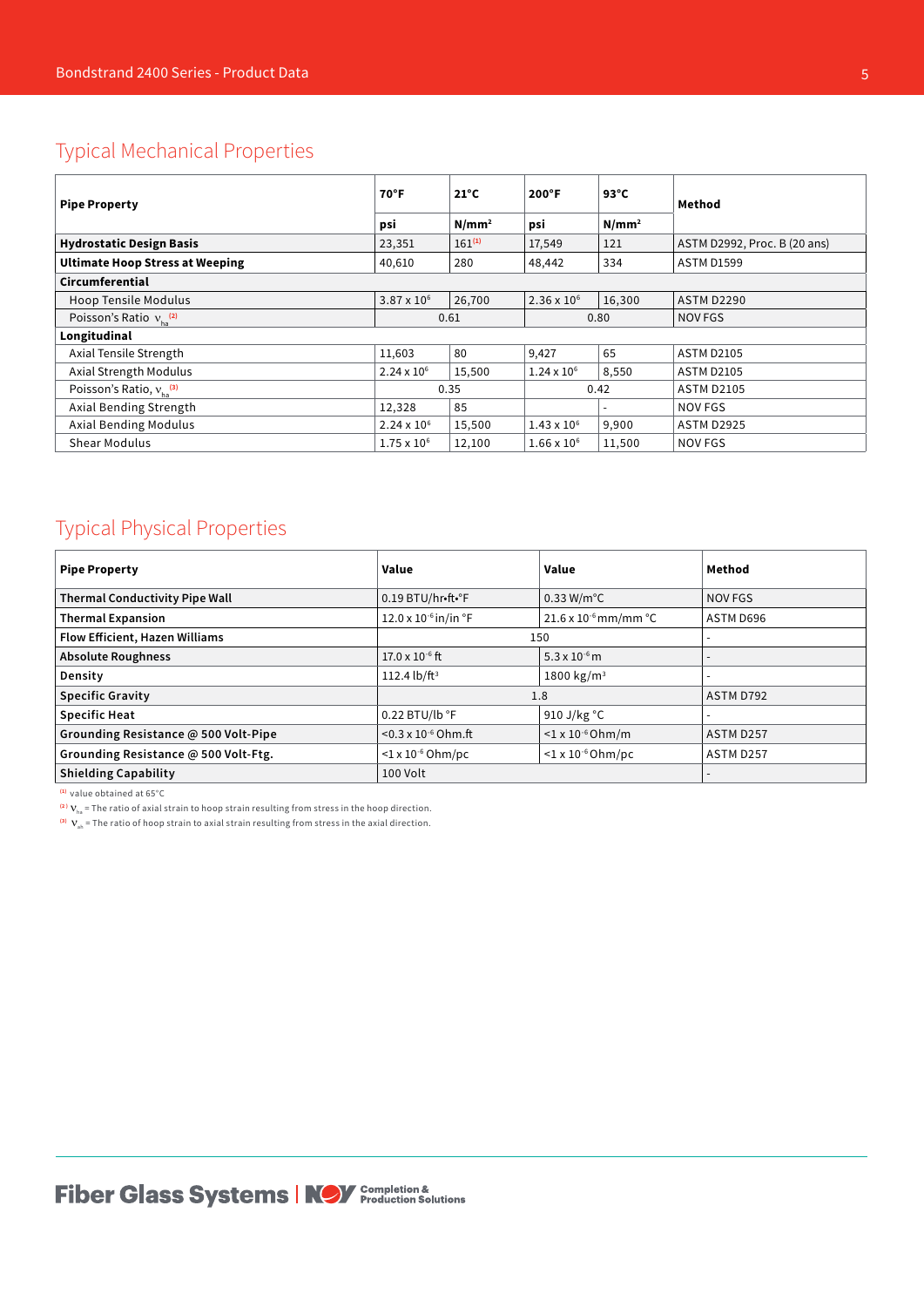# Typical Mechanical Properties

| <b>Pipe Property</b>                   | $70^{\circ}$ F<br>psi | $21^{\circ}$ C<br>N/mm <sup>2</sup> | $200^{\circ}$ F<br>psi | $93^{\circ}$ C<br>N/mm <sup>2</sup> | Method                       |
|----------------------------------------|-----------------------|-------------------------------------|------------------------|-------------------------------------|------------------------------|
| <b>Hydrostatic Design Basis</b>        | 23,351                | $161^{(1)}$                         | 17,549                 | 121                                 | ASTM D2992, Proc. B (20 ans) |
| <b>Ultimate Hoop Stress at Weeping</b> | 40,610                | 280                                 | 48,442                 | 334                                 | <b>ASTM D1599</b>            |
| Circumferential                        |                       |                                     |                        |                                     |                              |
| <b>Hoop Tensile Modulus</b>            | $3.87 \times 10^{6}$  | 26,700                              | $2.36 \times 10^6$     | 16,300                              | <b>ASTM D2290</b>            |
| Poisson's Ratio $v_{L}^{(2)}$          |                       | 0.61                                |                        | 0.80                                | NOV FGS                      |
| Longitudinal                           |                       |                                     |                        |                                     |                              |
| Axial Tensile Strength                 | 11,603                | 80                                  | 9,427                  | 65                                  | <b>ASTM D2105</b>            |
| Axial Strength Modulus                 | $2.24 \times 10^{6}$  | 15,500                              | $1.24 \times 10^{6}$   | 8,550                               | <b>ASTM D2105</b>            |
| Poisson's Ratio, $v_{1}^{(3)}$         |                       | 0.35                                |                        | 0.42                                | <b>ASTM D2105</b>            |
| Axial Bending Strength                 | 12,328                | 85                                  |                        |                                     | NOV FGS                      |
| <b>Axial Bending Modulus</b>           | $2.24 \times 10^{6}$  | 15,500                              | $1.43 \times 10^{6}$   | 9,900                               | <b>ASTM D2925</b>            |
| <b>Shear Modulus</b>                   | $1.75 \times 10^{6}$  | 12,100                              | $1.66 \times 10^{6}$   | 11,500                              | <b>NOV FGS</b>               |

# Typical Physical Properties

| <b>Pipe Property</b>                  | Value                                   | Value                                    | Method    |
|---------------------------------------|-----------------------------------------|------------------------------------------|-----------|
| <b>Thermal Conductivity Pipe Wall</b> | 0.19 BTU/hr•ft•°F                       | $0.33$ W/m $^{\circ}$ C                  | NOV FGS   |
| <b>Thermal Expansion</b>              | $12.0 \times 10^{-6}$ in/in $\degree$ F | $21.6 \times 10^{-6}$ mm/mm $^{\circ}$ C | ASTM D696 |
| Flow Efficient, Hazen Williams        |                                         | 150                                      |           |
| <b>Absolute Roughness</b>             | $17.0 \times 10^{-6}$ ft                | $5.3 \times 10^{-6}$ m                   |           |
| Density                               | 112.4 lb/ft <sup>3</sup>                | 1800 kg/m <sup>3</sup>                   | -         |
| <b>Specific Gravity</b>               |                                         | 1.8                                      | ASTM D792 |
| <b>Specific Heat</b>                  | $0.22$ BTU/lb $\degree$ F               | 910 J/kg $\degree$ C                     |           |
| Grounding Resistance @ 500 Volt-Pipe  | $< 0.3 \times 10^{-6}$ Ohm.ft           | $<$ 1 x 10 <sup>-6</sup> Ohm/m           | ASTM D257 |
| Grounding Resistance @ 500 Volt-Ftg.  | $<$ 1 x 10 <sup>-6</sup> Ohm/pc         | $<$ 1 x 10 <sup>-6</sup> Ohm/pc          | ASTM D257 |
| <b>Shielding Capability</b>           | 100 Volt                                |                                          |           |

**(1)** value obtained at 65°C

<sup>(2)</sup>  $V_{ha}$  = The ratio of axial strain to hoop strain resulting from stress in the hoop direction.

**(3)** νah = The ratio of hoop strain to axial strain resulting from stress in the axial direction.